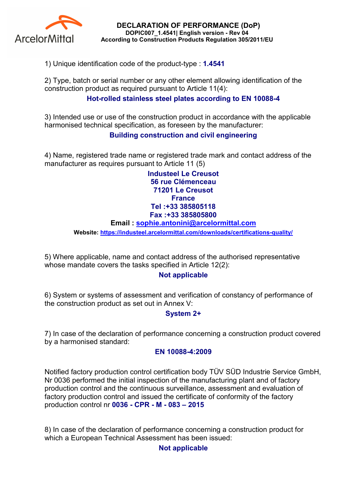

DECLARATION OF PERFORMANCE (DoP) DOPIC007\_1.4541| English version - Rev 04 According to Construction Products Regulation 305/2011/EU

1) Unique identification code of the product-type : 1.4541

2) Type, batch or serial number or any other element allowing identification of the construction product as required pursuant to Article 11(4):

# Hot-rolled stainless steel plates according to EN 10088-4

3) Intended use or use of the construction product in accordance with the applicable harmonised technical specification, as foreseen by the manufacturer:

## Building construction and civil engineering

4) Name, registered trade name or registered trade mark and contact address of the manufacturer as requires pursuant to Article 11 (5)

> Industeel Le Creusot 56 rue Clémenceau 71201 Le Creusot **France** Tel :+33 385805118 Fax :+33 385805800

#### Email : sophie.antonini@arcelormittal.com

Website: https://industeel.arcelormittal.com/downloads/certifications-quality/

5) Where applicable, name and contact address of the authorised representative whose mandate covers the tasks specified in Article 12(2):

## Not applicable

6) System or systems of assessment and verification of constancy of performance of the construction product as set out in Annex V:

## System 2+

7) In case of the declaration of performance concerning a construction product covered by a harmonised standard:

#### EN 10088-4:2009

Notified factory production control certification body TÜV SÜD Industrie Service GmbH, Nr 0036 performed the initial inspection of the manufacturing plant and of factory production control and the continuous surveillance, assessment and evaluation of factory production control and issued the certificate of conformity of the factory production control nr 0036 - CPR - M - 083 – 2015

8) In case of the declaration of performance concerning a construction product for which a European Technical Assessment has been issued:

## Not applicable